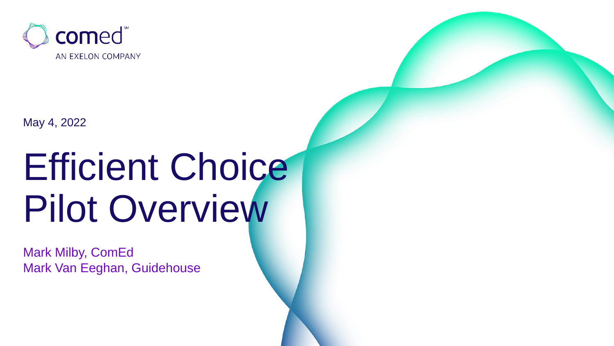

May 4, 2022

## Efficient Choice Pilot Overview

Mark Milby, ComEd Mark Van Eeghan, Guidehouse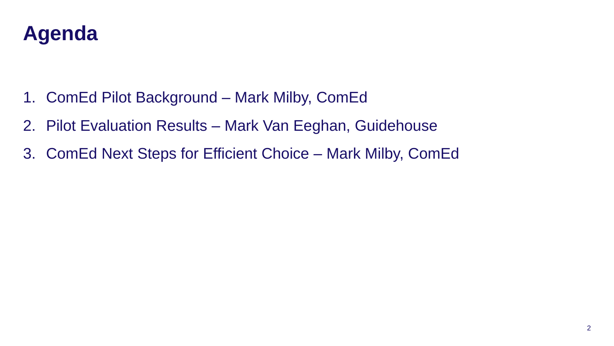

- 1. ComEd Pilot Background Mark Milby, ComEd
- 2. Pilot Evaluation Results Mark Van Eeghan, Guidehouse
- 3. ComEd Next Steps for Efficient Choice Mark Milby, ComEd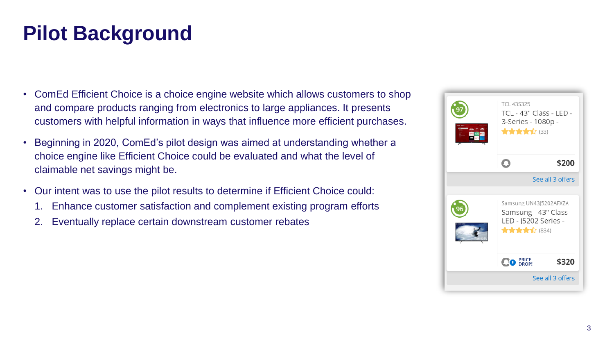## **Pilot Background**

- ComEd Efficient Choice is a choice engine website which allows customers to shop and compare products ranging from electronics to large appliances. It presents customers with helpful information in ways that influence more efficient purchases.
- Beginning in 2020, ComEd's pilot design was aimed at understanding whether a choice engine like Efficient Choice could be evaluated and what the level of claimable net savings might be.
- Our intent was to use the pilot results to determine if Efficient Choice could:
	- 1. Enhance customer satisfaction and complement existing program efforts
	- 2. Eventually replace certain downstream customer rebates